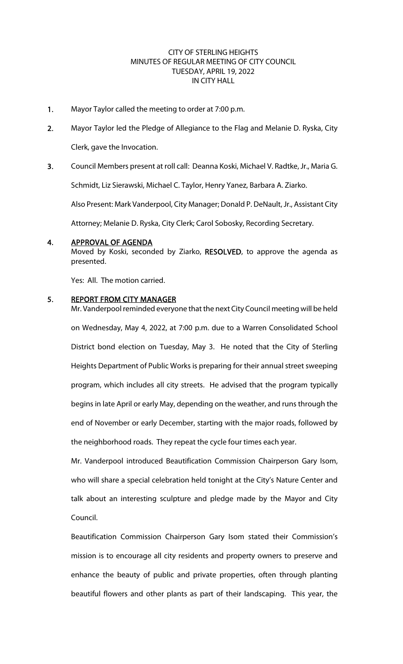## CITY OF STERLING HEIGHTS MINUTES OF REGULAR MEETING OF CITY COUNCIL TUESDAY, APRIL 19, 2022 IN CITY HALL

- 1. Mayor Taylor called the meeting to order at 7:00 p.m.
- 2. Mayor Taylor led the Pledge of Allegiance to the Flag and Melanie D. Ryska, City Clerk, gave the Invocation.
- 3. Council Members present at roll call: Deanna Koski, Michael V. Radtke, Jr., Maria G. Schmidt, Liz Sierawski, Michael C. Taylor, Henry Yanez, Barbara A. Ziarko.

Also Present: Mark Vanderpool, City Manager; Donald P. DeNault, Jr., Assistant City

Attorney; Melanie D. Ryska, City Clerk; Carol Sobosky, Recording Secretary.

## 4. APPROVAL OF AGENDA

Moved by Koski, seconded by Ziarko, RESOLVED, to approve the agenda as presented.

Yes: All. The motion carried.

## 5. REPORT FROM CITY MANAGER

Mr. Vanderpool reminded everyone that the next City Council meeting will be held on Wednesday, May 4, 2022, at 7:00 p.m. due to a Warren Consolidated School District bond election on Tuesday, May 3. He noted that the City of Sterling Heights Department of Public Works is preparing for their annual street sweeping program, which includes all city streets. He advised that the program typically begins in late April or early May, depending on the weather, and runs through the end of November or early December, starting with the major roads, followed by the neighborhood roads. They repeat the cycle four times each year.

Mr. Vanderpool introduced Beautification Commission Chairperson Gary Isom, who will share a special celebration held tonight at the City's Nature Center and talk about an interesting sculpture and pledge made by the Mayor and City Council.

Beautification Commission Chairperson Gary Isom stated their Commission's mission is to encourage all city residents and property owners to preserve and enhance the beauty of public and private properties, often through planting beautiful flowers and other plants as part of their landscaping. This year, the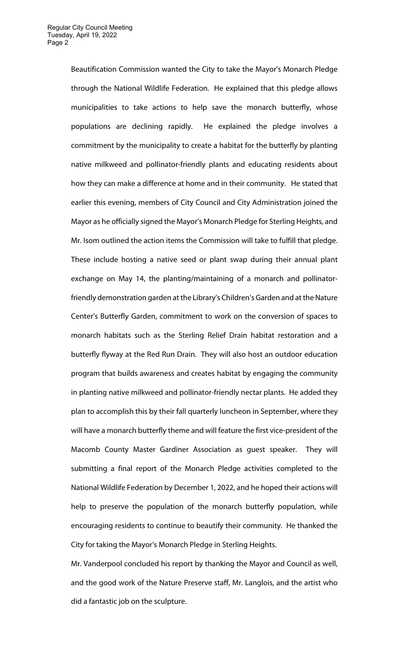Beautification Commission wanted the City to take the Mayor's Monarch Pledge through the National Wildlife Federation. He explained that this pledge allows municipalities to take actions to help save the monarch butterfly, whose populations are declining rapidly. He explained the pledge involves a commitment by the municipality to create a habitat for the butterfly by planting native milkweed and pollinator-friendly plants and educating residents about how they can make a difference at home and in their community. He stated that earlier this evening, members of City Council and City Administration joined the Mayor as he officially signed the Mayor's Monarch Pledge for Sterling Heights, and Mr. Isom outlined the action items the Commission will take to fulfill that pledge. These include hosting a native seed or plant swap during their annual plant exchange on May 14, the planting/maintaining of a monarch and pollinatorfriendly demonstration garden at the Library's Children's Garden and at the Nature Center's Butterfly Garden, commitment to work on the conversion of spaces to monarch habitats such as the Sterling Relief Drain habitat restoration and a butterfly flyway at the Red Run Drain. They will also host an outdoor education program that builds awareness and creates habitat by engaging the community in planting native milkweed and pollinator-friendly nectar plants. He added they plan to accomplish this by their fall quarterly luncheon in September, where they will have a monarch butterfly theme and will feature the first vice-president of the Macomb County Master Gardiner Association as guest speaker. They will submitting a final report of the Monarch Pledge activities completed to the National Wildlife Federation by December 1, 2022, and he hoped their actions will help to preserve the population of the monarch butterfly population, while encouraging residents to continue to beautify their community. He thanked the City for taking the Mayor's Monarch Pledge in Sterling Heights.

Mr. Vanderpool concluded his report by thanking the Mayor and Council as well, and the good work of the Nature Preserve staff, Mr. Langlois, and the artist who did a fantastic job on the sculpture.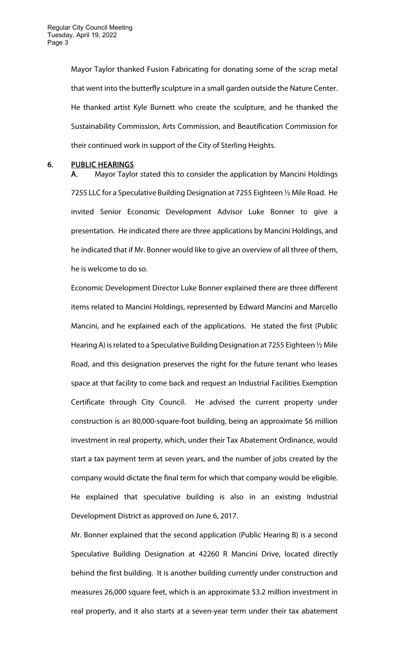Mayor Taylor thanked Fusion Fabricating for donating some of the scrap metal that went into the butterfly sculpture in a small garden outside the Nature Center. He thanked artist Kyle Burnett who create the sculpture, and he thanked the Sustainability Commission, Arts Commission, and Beautification Commission for their continued work in support of the City of Sterling Heights.

#### 6. PUBLIC HEARINGS

A. Mayor Taylor stated this to consider the application by Mancini Holdings 7255 LLC for a Speculative Building Designation at 7255 Eighteen ½ Mile Road. He invited Senior Economic Development Advisor Luke Bonner to give a presentation. He indicated there are three applications by Mancini Holdings, and he indicated that if Mr. Bonner would like to give an overview of all three of them, he is welcome to do so.

Economic Development Director Luke Bonner explained there are three different items related to Mancini Holdings, represented by Edward Mancini and Marcello Mancini, and he explained each of the applications. He stated the first (Public Hearing A) is related to a Speculative Building Designation at 7255 Eighteen ½ Mile Road, and this designation preserves the right for the future tenant who leases space at that facility to come back and request an Industrial Facilities Exemption Certificate through City Council. He advised the current property under construction is an 80,000-square-foot building, being an approximate \$6 million investment in real property, which, under their Tax Abatement Ordinance, would start a tax payment term at seven years, and the number of jobs created by the company would dictate the final term for which that company would be eligible. He explained that speculative building is also in an existing Industrial Development District as approved on June 6, 2017.

Mr. Bonner explained that the second application (Public Hearing B) is a second Speculative Building Designation at 42260 R Mancini Drive, located directly behind the first building. It is another building currently under construction and measures 26,000 square feet, which is an approximate \$3.2 million investment in real property, and it also starts at a seven-year term under their tax abatement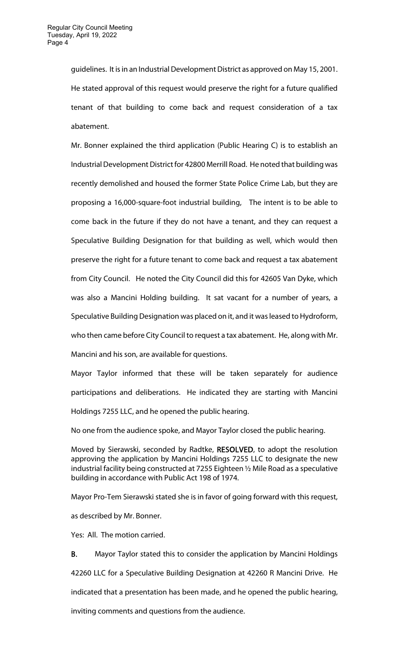guidelines. It is in an Industrial Development District as approved on May 15, 2001. He stated approval of this request would preserve the right for a future qualified tenant of that building to come back and request consideration of a tax abatement.

Mr. Bonner explained the third application (Public Hearing C) is to establish an Industrial Development District for 42800 Merrill Road. He noted that building was recently demolished and housed the former State Police Crime Lab, but they are proposing a 16,000-square-foot industrial building, The intent is to be able to come back in the future if they do not have a tenant, and they can request a Speculative Building Designation for that building as well, which would then preserve the right for a future tenant to come back and request a tax abatement from City Council. He noted the City Council did this for 42605 Van Dyke, which was also a Mancini Holding building. It sat vacant for a number of years, a Speculative Building Designation was placed on it, and it was leased to Hydroform, who then came before City Council to request a tax abatement. He, along with Mr. Mancini and his son, are available for questions.

Mayor Taylor informed that these will be taken separately for audience participations and deliberations. He indicated they are starting with Mancini Holdings 7255 LLC, and he opened the public hearing.

No one from the audience spoke, and Mayor Taylor closed the public hearing.

Moved by Sierawski, seconded by Radtke, RESOLVED, to adopt the resolution approving the application by Mancini Holdings 7255 LLC to designate the new industrial facility being constructed at 7255 Eighteen ½ Mile Road as a speculative building in accordance with Public Act 198 of 1974.

Mayor Pro-Tem Sierawski stated she is in favor of going forward with this request, as described by Mr. Bonner.

Yes: All. The motion carried.

B. Mayor Taylor stated this to consider the application by Mancini Holdings 42260 LLC for a Speculative Building Designation at 42260 R Mancini Drive. He indicated that a presentation has been made, and he opened the public hearing, inviting comments and questions from the audience.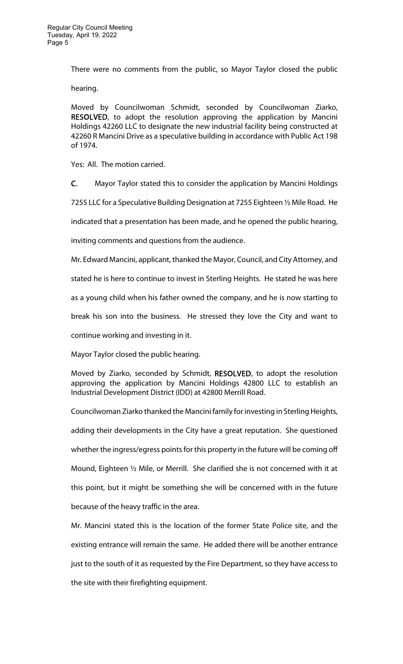There were no comments from the public, so Mayor Taylor closed the public

hearing.

Moved by Councilwoman Schmidt, seconded by Councilwoman Ziarko, RESOLVED, to adopt the resolution approving the application by Mancini Holdings 42260 LLC to designate the new industrial facility being constructed at 42260 R Mancini Drive as a speculative building in accordance with Public Act 198 of 1974.

Yes: All. The motion carried.

C. Mayor Taylor stated this to consider the application by Mancini Holdings

7255 LLC for a Speculative Building Designation at 7255 Eighteen ½ Mile Road. He

indicated that a presentation has been made, and he opened the public hearing,

inviting comments and questions from the audience.

Mr. Edward Mancini, applicant, thanked the Mayor, Council, and City Attorney, and

stated he is here to continue to invest in Sterling Heights. He stated he was here

as a young child when his father owned the company, and he is now starting to

break his son into the business. He stressed they love the City and want to

continue working and investing in it.

Mayor Taylor closed the public hearing.

Moved by Ziarko, seconded by Schmidt, RESOLVED, to adopt the resolution approving the application by Mancini Holdings 42800 LLC to establish an Industrial Development District (IDD) at 42800 Merrill Road.

Councilwoman Ziarko thanked the Mancini family for investing in Sterling Heights, adding their developments in the City have a great reputation. She questioned whether the ingress/egress points for this property in the future will be coming off Mound, Eighteen ½ Mile, or Merrill. She clarified she is not concerned with it at this point, but it might be something she will be concerned with in the future because of the heavy traffic in the area.

Mr. Mancini stated this is the location of the former State Police site, and the existing entrance will remain the same. He added there will be another entrance just to the south of it as requested by the Fire Department, so they have access to the site with their firefighting equipment.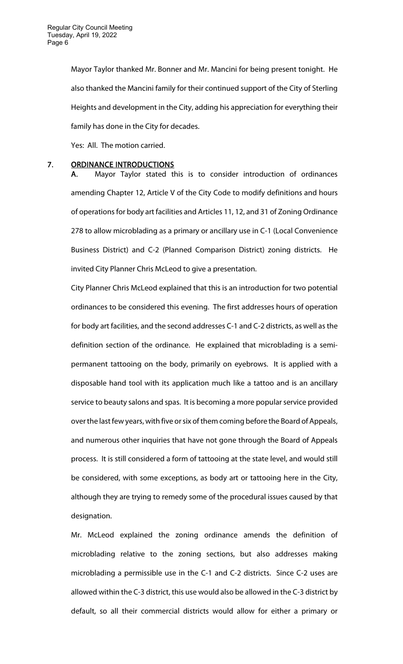Mayor Taylor thanked Mr. Bonner and Mr. Mancini for being present tonight. He also thanked the Mancini family for their continued support of the City of Sterling Heights and development in the City, adding his appreciation for everything their family has done in the City for decades.

Yes: All. The motion carried.

#### 7. ORDINANCE INTRODUCTIONS

A. Mayor Taylor stated this is to consider introduction of ordinances amending Chapter 12, Article V of the City Code to modify definitions and hours of operations for body art facilities and Articles 11, 12, and 31 of Zoning Ordinance 278 to allow microblading as a primary or ancillary use in C-1 (Local Convenience Business District) and C-2 (Planned Comparison District) zoning districts. He invited City Planner Chris McLeod to give a presentation.

City Planner Chris McLeod explained that this is an introduction for two potential ordinances to be considered this evening. The first addresses hours of operation for body art facilities, and the second addresses C-1 and C-2 districts, as well as the definition section of the ordinance. He explained that microblading is a semipermanent tattooing on the body, primarily on eyebrows. It is applied with a disposable hand tool with its application much like a tattoo and is an ancillary service to beauty salons and spas. It is becoming a more popular service provided over the last few years, with five or six of them coming before the Board of Appeals, and numerous other inquiries that have not gone through the Board of Appeals process. It is still considered a form of tattooing at the state level, and would still be considered, with some exceptions, as body art or tattooing here in the City, although they are trying to remedy some of the procedural issues caused by that designation.

Mr. McLeod explained the zoning ordinance amends the definition of microblading relative to the zoning sections, but also addresses making microblading a permissible use in the C-1 and C-2 districts. Since C-2 uses are allowed within the C-3 district, this use would also be allowed in the C-3 district by default, so all their commercial districts would allow for either a primary or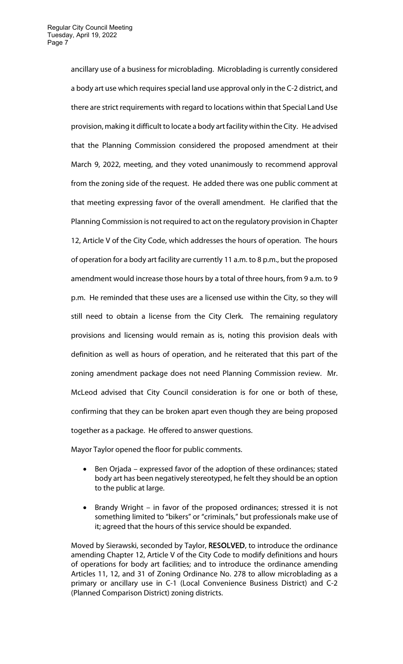ancillary use of a business for microblading. Microblading is currently considered a body art use which requires special land use approval only in the C-2 district, and there are strict requirements with regard to locations within that Special Land Use provision, making it difficult to locate a body art facility within the City. He advised that the Planning Commission considered the proposed amendment at their March 9, 2022, meeting, and they voted unanimously to recommend approval from the zoning side of the request. He added there was one public comment at that meeting expressing favor of the overall amendment. He clarified that the Planning Commission is not required to act on the regulatory provision in Chapter 12, Article V of the City Code, which addresses the hours of operation. The hours of operation for a body art facility are currently 11 a.m. to 8 p.m., but the proposed amendment would increase those hours by a total of three hours, from 9 a.m. to 9 p.m. He reminded that these uses are a licensed use within the City, so they will still need to obtain a license from the City Clerk. The remaining regulatory provisions and licensing would remain as is, noting this provision deals with definition as well as hours of operation, and he reiterated that this part of the zoning amendment package does not need Planning Commission review. Mr. McLeod advised that City Council consideration is for one or both of these, confirming that they can be broken apart even though they are being proposed together as a package. He offered to answer questions.

Mayor Taylor opened the floor for public comments.

- Ben Orjada expressed favor of the adoption of these ordinances; stated body art has been negatively stereotyped, he felt they should be an option to the public at large.
- Brandy Wright in favor of the proposed ordinances; stressed it is not something limited to "bikers" or "criminals," but professionals make use of it; agreed that the hours of this service should be expanded.

Moved by Sierawski, seconded by Taylor, RESOLVED, to introduce the ordinance amending Chapter 12, Article V of the City Code to modify definitions and hours of operations for body art facilities; and to introduce the ordinance amending Articles 11, 12, and 31 of Zoning Ordinance No. 278 to allow microblading as a primary or ancillary use in C-1 (Local Convenience Business District) and C-2 (Planned Comparison District) zoning districts.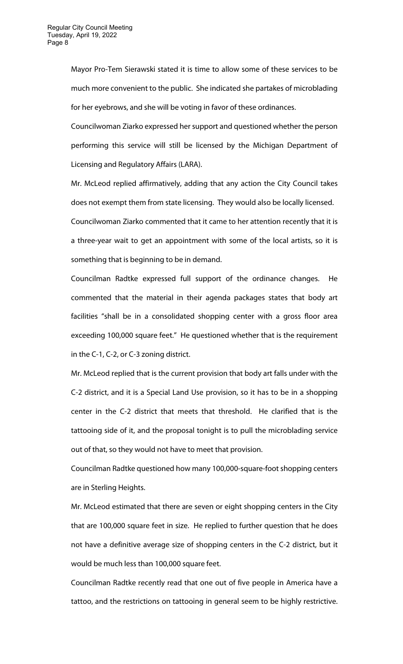Mayor Pro-Tem Sierawski stated it is time to allow some of these services to be much more convenient to the public. She indicated she partakes of microblading for her eyebrows, and she will be voting in favor of these ordinances.

Councilwoman Ziarko expressed her support and questioned whether the person performing this service will still be licensed by the Michigan Department of Licensing and Regulatory Affairs (LARA).

Mr. McLeod replied affirmatively, adding that any action the City Council takes does not exempt them from state licensing. They would also be locally licensed. Councilwoman Ziarko commented that it came to her attention recently that it is a three-year wait to get an appointment with some of the local artists, so it is something that is beginning to be in demand.

Councilman Radtke expressed full support of the ordinance changes. He commented that the material in their agenda packages states that body art facilities "shall be in a consolidated shopping center with a gross floor area exceeding 100,000 square feet." He questioned whether that is the requirement in the C-1, C-2, or C-3 zoning district.

Mr. McLeod replied that is the current provision that body art falls under with the C-2 district, and it is a Special Land Use provision, so it has to be in a shopping center in the C-2 district that meets that threshold. He clarified that is the tattooing side of it, and the proposal tonight is to pull the microblading service out of that, so they would not have to meet that provision.

Councilman Radtke questioned how many 100,000-square-foot shopping centers are in Sterling Heights.

Mr. McLeod estimated that there are seven or eight shopping centers in the City that are 100,000 square feet in size. He replied to further question that he does not have a definitive average size of shopping centers in the C-2 district, but it would be much less than 100,000 square feet.

Councilman Radtke recently read that one out of five people in America have a tattoo, and the restrictions on tattooing in general seem to be highly restrictive.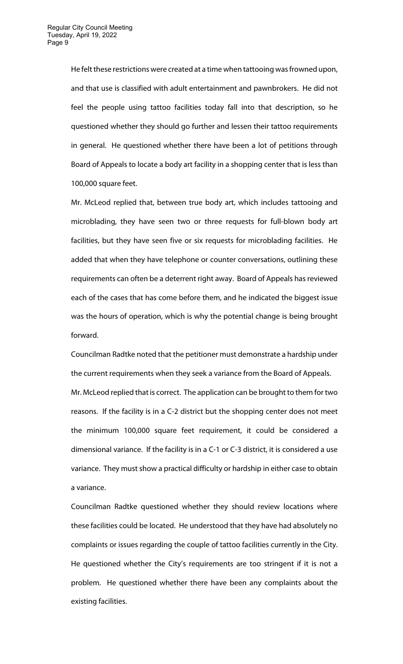He felt these restrictions were created at a time when tattooing was frowned upon, and that use is classified with adult entertainment and pawnbrokers. He did not feel the people using tattoo facilities today fall into that description, so he questioned whether they should go further and lessen their tattoo requirements in general. He questioned whether there have been a lot of petitions through Board of Appeals to locate a body art facility in a shopping center that is less than 100,000 square feet.

Mr. McLeod replied that, between true body art, which includes tattooing and microblading, they have seen two or three requests for full-blown body art facilities, but they have seen five or six requests for microblading facilities. He added that when they have telephone or counter conversations, outlining these requirements can often be a deterrent right away. Board of Appeals has reviewed each of the cases that has come before them, and he indicated the biggest issue was the hours of operation, which is why the potential change is being brought forward.

Councilman Radtke noted that the petitioner must demonstrate a hardship under the current requirements when they seek a variance from the Board of Appeals. Mr. McLeod replied that is correct. The application can be brought to them for two reasons. If the facility is in a C-2 district but the shopping center does not meet the minimum 100,000 square feet requirement, it could be considered a dimensional variance. If the facility is in a C-1 or C-3 district, it is considered a use variance. They must show a practical difficulty or hardship in either case to obtain a variance.

Councilman Radtke questioned whether they should review locations where these facilities could be located. He understood that they have had absolutely no complaints or issues regarding the couple of tattoo facilities currently in the City. He questioned whether the City's requirements are too stringent if it is not a problem. He questioned whether there have been any complaints about the existing facilities.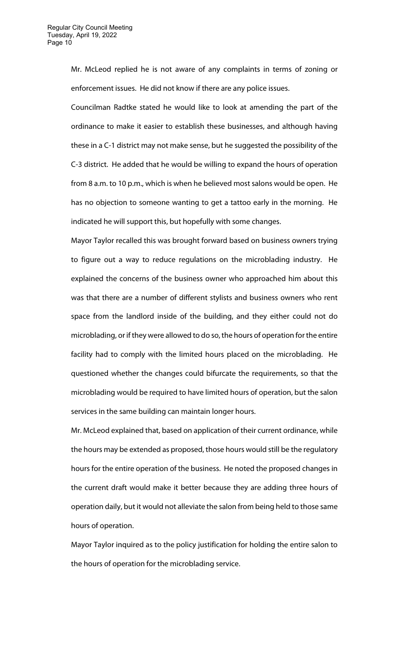Mr. McLeod replied he is not aware of any complaints in terms of zoning or enforcement issues. He did not know if there are any police issues.

Councilman Radtke stated he would like to look at amending the part of the ordinance to make it easier to establish these businesses, and although having these in a C-1 district may not make sense, but he suggested the possibility of the C-3 district. He added that he would be willing to expand the hours of operation from 8 a.m. to 10 p.m., which is when he believed most salons would be open. He has no objection to someone wanting to get a tattoo early in the morning. He indicated he will support this, but hopefully with some changes.

Mayor Taylor recalled this was brought forward based on business owners trying to figure out a way to reduce regulations on the microblading industry. He explained the concerns of the business owner who approached him about this was that there are a number of different stylists and business owners who rent space from the landlord inside of the building, and they either could not do microblading, or if they were allowed to do so, the hours of operation for the entire facility had to comply with the limited hours placed on the microblading. He questioned whether the changes could bifurcate the requirements, so that the microblading would be required to have limited hours of operation, but the salon services in the same building can maintain longer hours.

Mr. McLeod explained that, based on application of their current ordinance, while the hours may be extended as proposed, those hours would still be the regulatory hours for the entire operation of the business. He noted the proposed changes in the current draft would make it better because they are adding three hours of operation daily, but it would not alleviate the salon from being held to those same hours of operation.

Mayor Taylor inquired as to the policy justification for holding the entire salon to the hours of operation for the microblading service.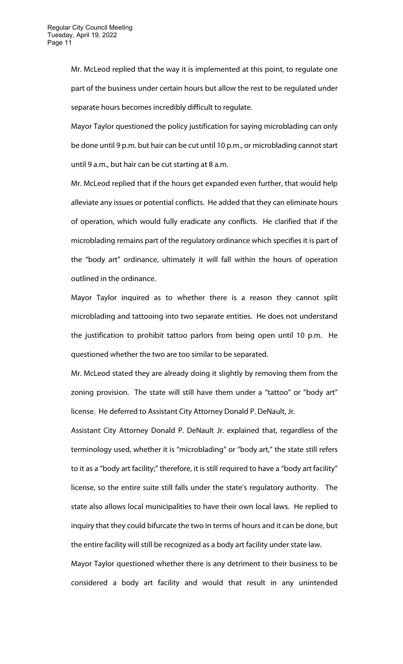Mr. McLeod replied that the way it is implemented at this point, to regulate one part of the business under certain hours but allow the rest to be regulated under separate hours becomes incredibly difficult to regulate.

Mayor Taylor questioned the policy justification for saying microblading can only be done until 9 p.m. but hair can be cut until 10 p.m., or microblading cannot start until 9 a.m., but hair can be cut starting at 8 a.m.

Mr. McLeod replied that if the hours get expanded even further, that would help alleviate any issues or potential conflicts. He added that they can eliminate hours of operation, which would fully eradicate any conflicts. He clarified that if the microblading remains part of the regulatory ordinance which specifies it is part of the "body art" ordinance, ultimately it will fall within the hours of operation outlined in the ordinance.

Mayor Taylor inquired as to whether there is a reason they cannot split microblading and tattooing into two separate entities. He does not understand the justification to prohibit tattoo parlors from being open until 10 p.m. He questioned whether the two are too similar to be separated.

Mr. McLeod stated they are already doing it slightly by removing them from the zoning provision. The state will still have them under a "tattoo" or "body art" license. He deferred to Assistant City Attorney Donald P. DeNault, Jr.

Assistant City Attorney Donald P. DeNault Jr. explained that, regardless of the terminology used, whether it is "microblading" or "body art," the state still refers to it as a "body art facility;" therefore, it is still required to have a "body art facility" license, so the entire suite still falls under the state's regulatory authority. The state also allows local municipalities to have their own local laws. He replied to inquiry that they could bifurcate the two in terms of hours and it can be done, but the entire facility will still be recognized as a body art facility under state law.

Mayor Taylor questioned whether there is any detriment to their business to be considered a body art facility and would that result in any unintended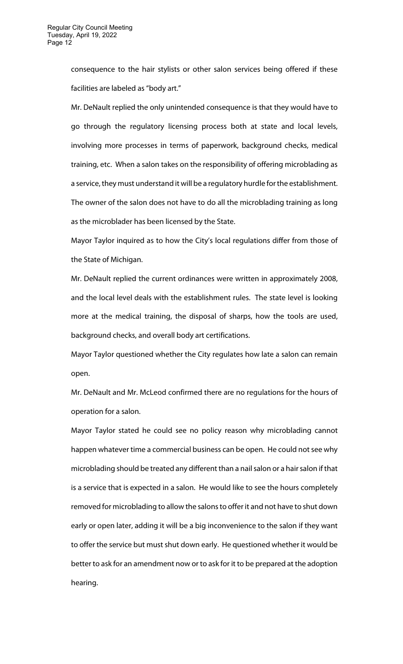consequence to the hair stylists or other salon services being offered if these facilities are labeled as "body art."

Mr. DeNault replied the only unintended consequence is that they would have to go through the regulatory licensing process both at state and local levels, involving more processes in terms of paperwork, background checks, medical training, etc. When a salon takes on the responsibility of offering microblading as a service, they must understand it will be a regulatory hurdle for the establishment. The owner of the salon does not have to do all the microblading training as long as the microblader has been licensed by the State.

Mayor Taylor inquired as to how the City's local regulations differ from those of the State of Michigan.

Mr. DeNault replied the current ordinances were written in approximately 2008, and the local level deals with the establishment rules. The state level is looking more at the medical training, the disposal of sharps, how the tools are used, background checks, and overall body art certifications.

Mayor Taylor questioned whether the City regulates how late a salon can remain open.

Mr. DeNault and Mr. McLeod confirmed there are no regulations for the hours of operation for a salon.

Mayor Taylor stated he could see no policy reason why microblading cannot happen whatever time a commercial business can be open. He could not see why microblading should be treated any different than a nail salon or a hair salon if that is a service that is expected in a salon. He would like to see the hours completely removed for microblading to allow the salons to offer it and not have to shut down early or open later, adding it will be a big inconvenience to the salon if they want to offer the service but must shut down early. He questioned whether it would be better to ask for an amendment now or to ask for it to be prepared at the adoption hearing.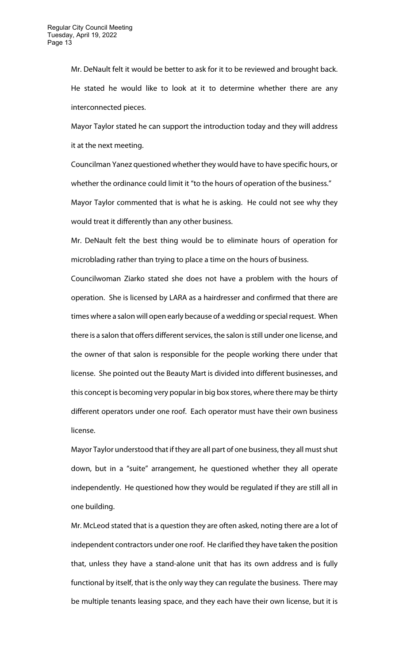Mr. DeNault felt it would be better to ask for it to be reviewed and brought back. He stated he would like to look at it to determine whether there are any interconnected pieces.

Mayor Taylor stated he can support the introduction today and they will address it at the next meeting.

Councilman Yanez questioned whether they would have to have specific hours, or whether the ordinance could limit it "to the hours of operation of the business." Mayor Taylor commented that is what he is asking. He could not see why they would treat it differently than any other business.

Mr. DeNault felt the best thing would be to eliminate hours of operation for microblading rather than trying to place a time on the hours of business.

Councilwoman Ziarko stated she does not have a problem with the hours of operation. She is licensed by LARA as a hairdresser and confirmed that there are times where a salon will open early because of a wedding or special request. When there is a salon that offers different services, the salon is still under one license, and the owner of that salon is responsible for the people working there under that license. She pointed out the Beauty Mart is divided into different businesses, and this concept is becoming very popular in big box stores, where there may be thirty different operators under one roof. Each operator must have their own business license.

Mayor Taylor understood that if they are all part of one business, they all must shut down, but in a "suite" arrangement, he questioned whether they all operate independently. He questioned how they would be regulated if they are still all in one building.

Mr. McLeod stated that is a question they are often asked, noting there are a lot of independent contractors under one roof. He clarified they have taken the position that, unless they have a stand-alone unit that has its own address and is fully functional by itself, that is the only way they can regulate the business. There may be multiple tenants leasing space, and they each have their own license, but it is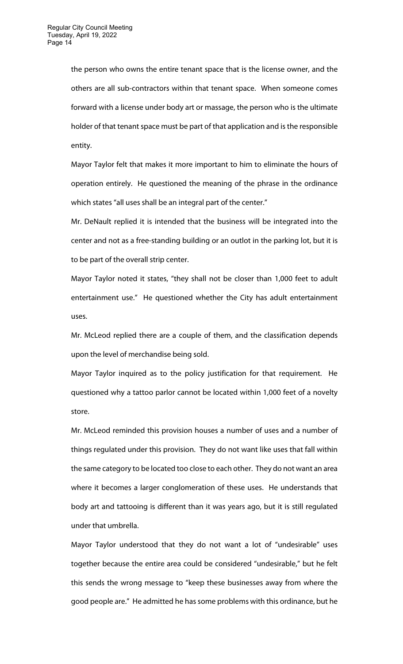the person who owns the entire tenant space that is the license owner, and the others are all sub-contractors within that tenant space. When someone comes forward with a license under body art or massage, the person who is the ultimate holder of that tenant space must be part of that application and is the responsible entity.

Mayor Taylor felt that makes it more important to him to eliminate the hours of operation entirely. He questioned the meaning of the phrase in the ordinance which states "all uses shall be an integral part of the center."

Mr. DeNault replied it is intended that the business will be integrated into the center and not as a free-standing building or an outlot in the parking lot, but it is to be part of the overall strip center.

Mayor Taylor noted it states, "they shall not be closer than 1,000 feet to adult entertainment use." He questioned whether the City has adult entertainment uses.

Mr. McLeod replied there are a couple of them, and the classification depends upon the level of merchandise being sold.

Mayor Taylor inquired as to the policy justification for that requirement. He questioned why a tattoo parlor cannot be located within 1,000 feet of a novelty store.

Mr. McLeod reminded this provision houses a number of uses and a number of things regulated under this provision. They do not want like uses that fall within the same category to be located too close to each other. They do not want an area where it becomes a larger conglomeration of these uses. He understands that body art and tattooing is different than it was years ago, but it is still regulated under that umbrella.

Mayor Taylor understood that they do not want a lot of "undesirable" uses together because the entire area could be considered "undesirable," but he felt this sends the wrong message to "keep these businesses away from where the good people are." He admitted he has some problems with this ordinance, but he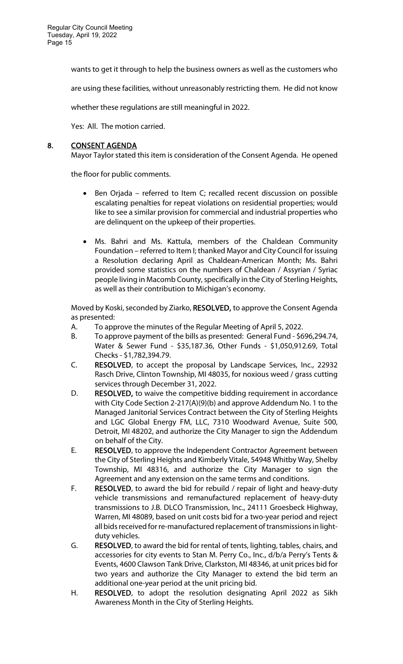wants to get it through to help the business owners as well as the customers who

are using these facilities, without unreasonably restricting them. He did not know

whether these regulations are still meaningful in 2022.

Yes: All. The motion carried.

## 8. CONSENT AGENDA

Mayor Taylor stated this item is consideration of the Consent Agenda. He opened

the floor for public comments.

- Ben Orjada referred to Item C; recalled recent discussion on possible escalating penalties for repeat violations on residential properties; would like to see a similar provision for commercial and industrial properties who are delinquent on the upkeep of their properties.
- Ms. Bahri and Ms. Kattula, members of the Chaldean Community Foundation – referred to Item I; thanked Mayor and City Council for issuing a Resolution declaring April as Chaldean-American Month; Ms. Bahri provided some statistics on the numbers of Chaldean / Assyrian / Syriac people living in Macomb County, specifically in the City of Sterling Heights, as well as their contribution to Michigan's economy.

Moved by Koski, seconded by Ziarko, RESOLVED, to approve the Consent Agenda as presented:

- A. To approve the minutes of the Regular Meeting of April 5, 2022.
- B. To approve payment of the bills as presented: General Fund \$696,294.74, Water & Sewer Fund - \$35,187.36, Other Funds - \$1,050,912.69, Total Checks - \$1,782,394.79.
- C. RESOLVED, to accept the proposal by Landscape Services, Inc., 22932 Rasch Drive, Clinton Township, MI 48035, for noxious weed / grass cutting services through December 31, 2022.
- D. RESOLVED, to waive the competitive bidding requirement in accordance with City Code Section 2-217(A)(9)(b) and approve Addendum No. 1 to the Managed Janitorial Services Contract between the City of Sterling Heights and LGC Global Energy FM, LLC, 7310 Woodward Avenue, Suite 500, Detroit, MI 48202, and authorize the City Manager to sign the Addendum on behalf of the City.
- E. RESOLVED, to approve the Independent Contractor Agreement between the City of Sterling Heights and Kimberly Vitale, 54948 Whitby Way, Shelby Township, MI 48316, and authorize the City Manager to sign the Agreement and any extension on the same terms and conditions.
- F. RESOLVED, to award the bid for rebuild / repair of light and heavy-duty vehicle transmissions and remanufactured replacement of heavy-duty transmissions to J.B. DLCO Transmission, Inc., 24111 Groesbeck Highway, Warren, MI 48089, based on unit costs bid for a two-year period and reject all bids received for re-manufactured replacement of transmissions in lightduty vehicles.
- G. RESOLVED, to award the bid for rental of tents, lighting, tables, chairs, and accessories for city events to Stan M. Perry Co., Inc., d/b/a Perry's Tents & Events, 4600 Clawson Tank Drive, Clarkston, MI 48346, at unit prices bid for two years and authorize the City Manager to extend the bid term an additional one-year period at the unit pricing bid.
- H. RESOLVED, to adopt the resolution designating April 2022 as Sikh Awareness Month in the City of Sterling Heights.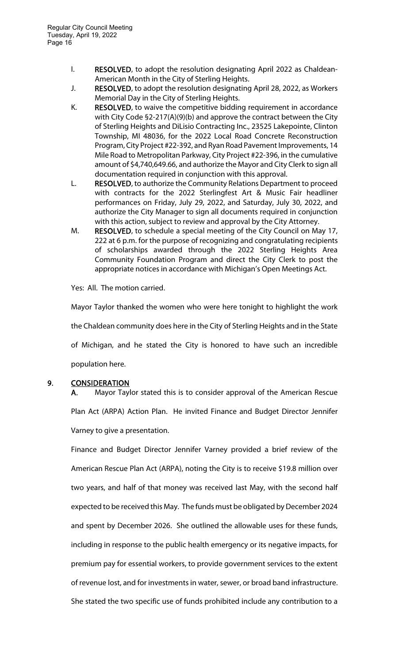- I. RESOLVED, to adopt the resolution designating April 2022 as Chaldean-American Month in the City of Sterling Heights.
- J. RESOLVED, to adopt the resolution designating April 28, 2022, as Workers Memorial Day in the City of Sterling Heights.
- K. RESOLVED, to waive the competitive bidding requirement in accordance with City Code §2-217(A)(9)(b) and approve the contract between the City of Sterling Heights and DiLisio Contracting Inc., 23525 Lakepointe, Clinton Township, MI 48036, for the 2022 Local Road Concrete Reconstruction Program, City Project #22-392, and Ryan Road Pavement Improvements, 14 Mile Road to Metropolitan Parkway, City Project #22-396, in the cumulative amount of \$4,740,649.66, and authorize the Mayor and City Clerk to sign all documentation required in conjunction with this approval.
- L. RESOLVED, to authorize the Community Relations Department to proceed with contracts for the 2022 Sterlingfest Art & Music Fair headliner performances on Friday, July 29, 2022, and Saturday, July 30, 2022, and authorize the City Manager to sign all documents required in conjunction with this action, subject to review and approval by the City Attorney.
- M. RESOLVED, to schedule a special meeting of the City Council on May 17, 222 at 6 p.m. for the purpose of recognizing and congratulating recipients of scholarships awarded through the 2022 Sterling Heights Area Community Foundation Program and direct the City Clerk to post the appropriate notices in accordance with Michigan's Open Meetings Act.

Yes: All. The motion carried.

Mayor Taylor thanked the women who were here tonight to highlight the work the Chaldean community does here in the City of Sterling Heights and in the State of Michigan, and he stated the City is honored to have such an incredible population here.

## 9. CONSIDERATION

A. Mayor Taylor stated this is to consider approval of the American Rescue Plan Act (ARPA) Action Plan. He invited Finance and Budget Director Jennifer Varney to give a presentation.

Finance and Budget Director Jennifer Varney provided a brief review of the American Rescue Plan Act (ARPA), noting the City is to receive \$19.8 million over two years, and half of that money was received last May, with the second half expected to be received this May. The funds must be obligated by December 2024 and spent by December 2026. She outlined the allowable uses for these funds, including in response to the public health emergency or its negative impacts, for premium pay for essential workers, to provide government services to the extent of revenue lost, and for investments in water, sewer, or broad band infrastructure. She stated the two specific use of funds prohibited include any contribution to a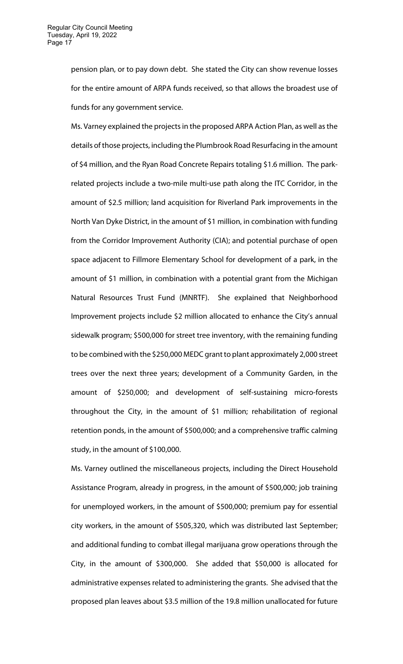pension plan, or to pay down debt. She stated the City can show revenue losses for the entire amount of ARPA funds received, so that allows the broadest use of funds for any government service.

Ms. Varney explained the projects in the proposed ARPA Action Plan, as well as the details of those projects, including the Plumbrook Road Resurfacing in the amount of \$4 million, and the Ryan Road Concrete Repairs totaling \$1.6 million. The parkrelated projects include a two-mile multi-use path along the ITC Corridor, in the amount of \$2.5 million; land acquisition for Riverland Park improvements in the North Van Dyke District, in the amount of \$1 million, in combination with funding from the Corridor Improvement Authority (CIA); and potential purchase of open space adjacent to Fillmore Elementary School for development of a park, in the amount of \$1 million, in combination with a potential grant from the Michigan Natural Resources Trust Fund (MNRTF). She explained that Neighborhood Improvement projects include \$2 million allocated to enhance the City's annual sidewalk program; \$500,000 for street tree inventory, with the remaining funding to be combined with the \$250,000 MEDC grant to plant approximately 2,000 street trees over the next three years; development of a Community Garden, in the amount of \$250,000; and development of self-sustaining micro-forests throughout the City, in the amount of \$1 million; rehabilitation of regional retention ponds, in the amount of \$500,000; and a comprehensive traffic calming study, in the amount of \$100,000.

Ms. Varney outlined the miscellaneous projects, including the Direct Household Assistance Program, already in progress, in the amount of \$500,000; job training for unemployed workers, in the amount of \$500,000; premium pay for essential city workers, in the amount of \$505,320, which was distributed last September; and additional funding to combat illegal marijuana grow operations through the City, in the amount of \$300,000. She added that \$50,000 is allocated for administrative expenses related to administering the grants. She advised that the proposed plan leaves about \$3.5 million of the 19.8 million unallocated for future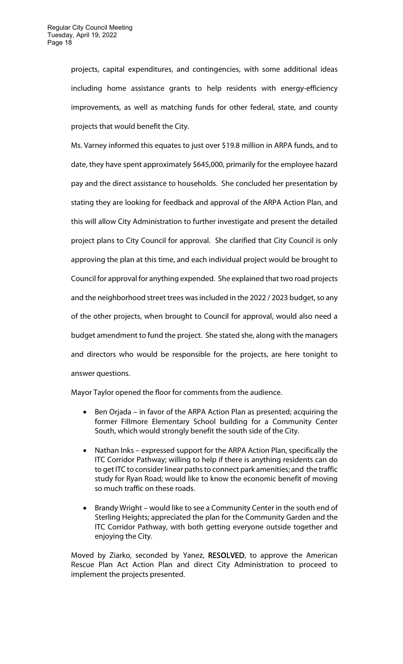projects, capital expenditures, and contingencies, with some additional ideas including home assistance grants to help residents with energy-efficiency improvements, as well as matching funds for other federal, state, and county projects that would benefit the City.

Ms. Varney informed this equates to just over \$19.8 million in ARPA funds, and to date, they have spent approximately \$645,000, primarily for the employee hazard pay and the direct assistance to households. She concluded her presentation by stating they are looking for feedback and approval of the ARPA Action Plan, and this will allow City Administration to further investigate and present the detailed project plans to City Council for approval. She clarified that City Council is only approving the plan at this time, and each individual project would be brought to Council for approval for anything expended. She explained that two road projects and the neighborhood street trees was included in the 2022 / 2023 budget, so any of the other projects, when brought to Council for approval, would also need a budget amendment to fund the project. She stated she, along with the managers and directors who would be responsible for the projects, are here tonight to answer questions.

Mayor Taylor opened the floor for comments from the audience.

- Ben Orjada in favor of the ARPA Action Plan as presented; acquiring the former Fillmore Elementary School building for a Community Center South, which would strongly benefit the south side of the City.
- Nathan Inks expressed support for the ARPA Action Plan, specifically the ITC Corridor Pathway; willing to help if there is anything residents can do to get ITC to consider linear paths to connect park amenities; and the traffic study for Ryan Road; would like to know the economic benefit of moving so much traffic on these roads.
- Brandy Wright would like to see a Community Center in the south end of Sterling Heights; appreciated the plan for the Community Garden and the ITC Corridor Pathway, with both getting everyone outside together and enjoying the City.

Moved by Ziarko, seconded by Yanez, RESOLVED, to approve the American Rescue Plan Act Action Plan and direct City Administration to proceed to implement the projects presented.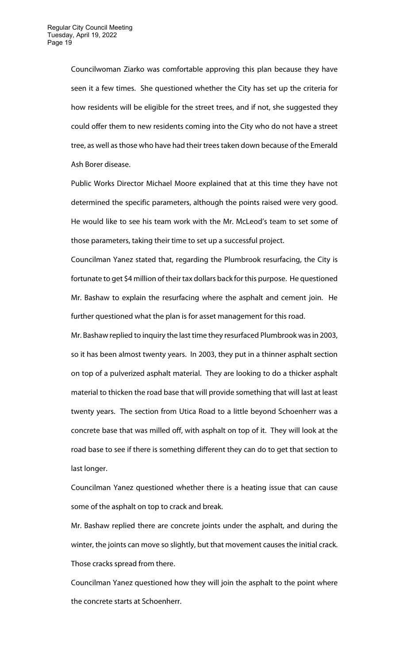Councilwoman Ziarko was comfortable approving this plan because they have seen it a few times. She questioned whether the City has set up the criteria for how residents will be eligible for the street trees, and if not, she suggested they could offer them to new residents coming into the City who do not have a street tree, as well as those who have had their trees taken down because of the Emerald Ash Borer disease.

Public Works Director Michael Moore explained that at this time they have not determined the specific parameters, although the points raised were very good. He would like to see his team work with the Mr. McLeod's team to set some of those parameters, taking their time to set up a successful project.

Councilman Yanez stated that, regarding the Plumbrook resurfacing, the City is fortunate to get \$4 million of their tax dollars back for this purpose. He questioned Mr. Bashaw to explain the resurfacing where the asphalt and cement join. He further questioned what the plan is for asset management for this road.

Mr. Bashaw replied to inquiry the last time they resurfaced Plumbrook was in 2003, so it has been almost twenty years. In 2003, they put in a thinner asphalt section on top of a pulverized asphalt material. They are looking to do a thicker asphalt material to thicken the road base that will provide something that will last at least twenty years. The section from Utica Road to a little beyond Schoenherr was a concrete base that was milled off, with asphalt on top of it. They will look at the road base to see if there is something different they can do to get that section to last longer.

Councilman Yanez questioned whether there is a heating issue that can cause some of the asphalt on top to crack and break.

Mr. Bashaw replied there are concrete joints under the asphalt, and during the winter, the joints can move so slightly, but that movement causes the initial crack. Those cracks spread from there.

Councilman Yanez questioned how they will join the asphalt to the point where the concrete starts at Schoenherr.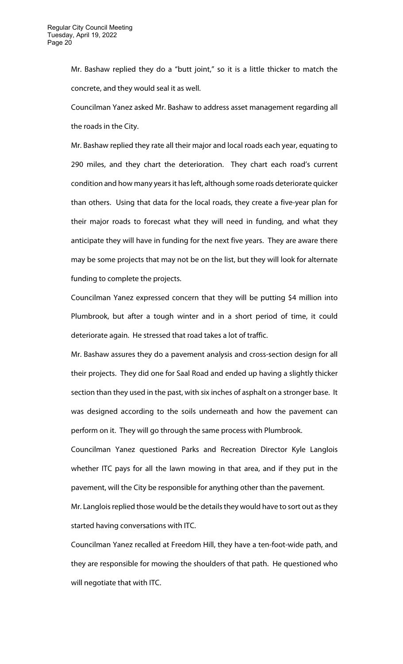Mr. Bashaw replied they do a "butt joint," so it is a little thicker to match the concrete, and they would seal it as well.

Councilman Yanez asked Mr. Bashaw to address asset management regarding all the roads in the City.

Mr. Bashaw replied they rate all their major and local roads each year, equating to 290 miles, and they chart the deterioration. They chart each road's current condition and how many years it has left, although some roads deteriorate quicker than others. Using that data for the local roads, they create a five-year plan for their major roads to forecast what they will need in funding, and what they anticipate they will have in funding for the next five years. They are aware there may be some projects that may not be on the list, but they will look for alternate funding to complete the projects.

Councilman Yanez expressed concern that they will be putting \$4 million into Plumbrook, but after a tough winter and in a short period of time, it could deteriorate again. He stressed that road takes a lot of traffic.

Mr. Bashaw assures they do a pavement analysis and cross-section design for all their projects. They did one for Saal Road and ended up having a slightly thicker section than they used in the past, with six inches of asphalt on a stronger base. It was designed according to the soils underneath and how the pavement can perform on it. They will go through the same process with Plumbrook.

Councilman Yanez questioned Parks and Recreation Director Kyle Langlois whether ITC pays for all the lawn mowing in that area, and if they put in the pavement, will the City be responsible for anything other than the pavement.

Mr. Langlois replied those would be the details they would have to sort out as they started having conversations with ITC.

Councilman Yanez recalled at Freedom Hill, they have a ten-foot-wide path, and they are responsible for mowing the shoulders of that path. He questioned who will negotiate that with ITC.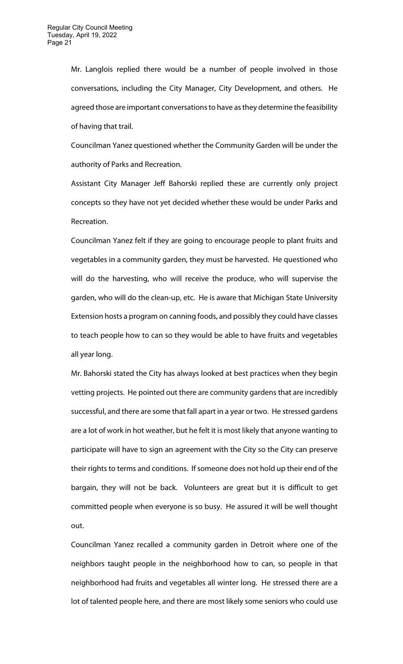Mr. Langlois replied there would be a number of people involved in those conversations, including the City Manager, City Development, and others. He agreed those are important conversations to have as they determine the feasibility of having that trail.

Councilman Yanez questioned whether the Community Garden will be under the authority of Parks and Recreation.

Assistant City Manager Jeff Bahorski replied these are currently only project concepts so they have not yet decided whether these would be under Parks and Recreation.

Councilman Yanez felt if they are going to encourage people to plant fruits and vegetables in a community garden, they must be harvested. He questioned who will do the harvesting, who will receive the produce, who will supervise the garden, who will do the clean-up, etc. He is aware that Michigan State University Extension hosts a program on canning foods, and possibly they could have classes to teach people how to can so they would be able to have fruits and vegetables all year long.

Mr. Bahorski stated the City has always looked at best practices when they begin vetting projects. He pointed out there are community gardens that are incredibly successful, and there are some that fall apart in a year or two. He stressed gardens are a lot of work in hot weather, but he felt it is most likely that anyone wanting to participate will have to sign an agreement with the City so the City can preserve their rights to terms and conditions. If someone does not hold up their end of the bargain, they will not be back. Volunteers are great but it is difficult to get committed people when everyone is so busy. He assured it will be well thought out.

Councilman Yanez recalled a community garden in Detroit where one of the neighbors taught people in the neighborhood how to can, so people in that neighborhood had fruits and vegetables all winter long. He stressed there are a lot of talented people here, and there are most likely some seniors who could use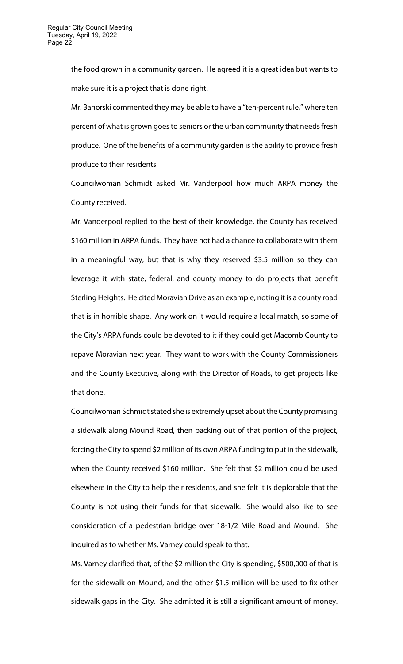the food grown in a community garden. He agreed it is a great idea but wants to make sure it is a project that is done right.

Mr. Bahorski commented they may be able to have a "ten-percent rule," where ten percent of what is grown goes to seniors or the urban community that needs fresh produce. One of the benefits of a community garden is the ability to provide fresh produce to their residents.

Councilwoman Schmidt asked Mr. Vanderpool how much ARPA money the County received.

Mr. Vanderpool replied to the best of their knowledge, the County has received \$160 million in ARPA funds. They have not had a chance to collaborate with them in a meaningful way, but that is why they reserved \$3.5 million so they can leverage it with state, federal, and county money to do projects that benefit Sterling Heights. He cited Moravian Drive as an example, noting it is a county road that is in horrible shape. Any work on it would require a local match, so some of the City's ARPA funds could be devoted to it if they could get Macomb County to repave Moravian next year. They want to work with the County Commissioners and the County Executive, along with the Director of Roads, to get projects like that done.

Councilwoman Schmidt stated she is extremely upset about the County promising a sidewalk along Mound Road, then backing out of that portion of the project, forcing the City to spend \$2 million of its own ARPA funding to put in the sidewalk, when the County received \$160 million. She felt that \$2 million could be used elsewhere in the City to help their residents, and she felt it is deplorable that the County is not using their funds for that sidewalk. She would also like to see consideration of a pedestrian bridge over 18-1/2 Mile Road and Mound. She inquired as to whether Ms. Varney could speak to that.

Ms. Varney clarified that, of the \$2 million the City is spending, \$500,000 of that is for the sidewalk on Mound, and the other \$1.5 million will be used to fix other sidewalk gaps in the City. She admitted it is still a significant amount of money.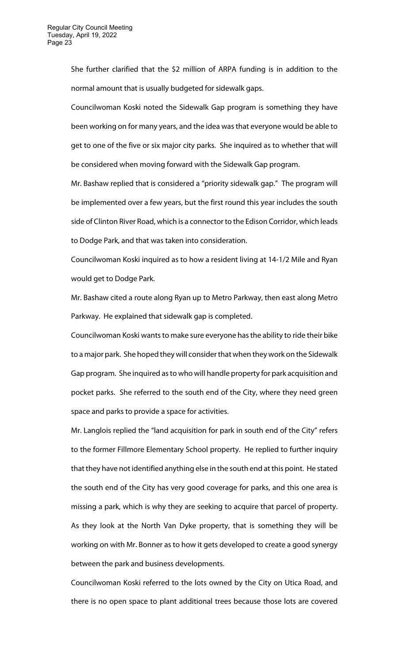She further clarified that the \$2 million of ARPA funding is in addition to the normal amount that is usually budgeted for sidewalk gaps.

Councilwoman Koski noted the Sidewalk Gap program is something they have been working on for many years, and the idea was that everyone would be able to get to one of the five or six major city parks. She inquired as to whether that will be considered when moving forward with the Sidewalk Gap program.

Mr. Bashaw replied that is considered a "priority sidewalk gap." The program will be implemented over a few years, but the first round this year includes the south side of Clinton River Road, which is a connector to the Edison Corridor, which leads to Dodge Park, and that was taken into consideration.

Councilwoman Koski inquired as to how a resident living at 14-1/2 Mile and Ryan would get to Dodge Park.

Mr. Bashaw cited a route along Ryan up to Metro Parkway, then east along Metro Parkway. He explained that sidewalk gap is completed.

Councilwoman Koski wants to make sure everyone has the ability to ride their bike to a major park. She hoped they will consider that when they work on the Sidewalk Gap program. She inquired as to who will handle property for park acquisition and pocket parks. She referred to the south end of the City, where they need green space and parks to provide a space for activities.

Mr. Langlois replied the "land acquisition for park in south end of the City" refers to the former Fillmore Elementary School property. He replied to further inquiry that they have not identified anything else in the south end at this point. He stated the south end of the City has very good coverage for parks, and this one area is missing a park, which is why they are seeking to acquire that parcel of property. As they look at the North Van Dyke property, that is something they will be working on with Mr. Bonner as to how it gets developed to create a good synergy between the park and business developments.

Councilwoman Koski referred to the lots owned by the City on Utica Road, and there is no open space to plant additional trees because those lots are covered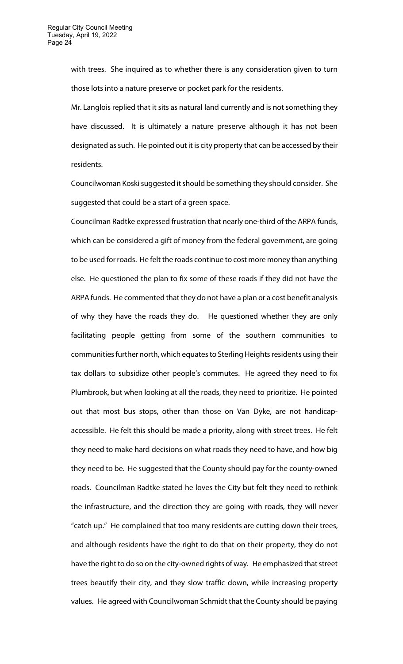with trees. She inquired as to whether there is any consideration given to turn those lots into a nature preserve or pocket park for the residents.

Mr. Langlois replied that it sits as natural land currently and is not something they have discussed. It is ultimately a nature preserve although it has not been designated as such. He pointed out it is city property that can be accessed by their residents.

Councilwoman Koski suggested it should be something they should consider. She suggested that could be a start of a green space.

Councilman Radtke expressed frustration that nearly one-third of the ARPA funds, which can be considered a gift of money from the federal government, are going to be used for roads. He felt the roads continue to cost more money than anything else. He questioned the plan to fix some of these roads if they did not have the ARPA funds. He commented that they do not have a plan or a cost benefit analysis of why they have the roads they do. He questioned whether they are only facilitating people getting from some of the southern communities to communities further north, which equates to Sterling Heights residents using their tax dollars to subsidize other people's commutes. He agreed they need to fix Plumbrook, but when looking at all the roads, they need to prioritize. He pointed out that most bus stops, other than those on Van Dyke, are not handicapaccessible. He felt this should be made a priority, along with street trees. He felt they need to make hard decisions on what roads they need to have, and how big they need to be. He suggested that the County should pay for the county-owned roads. Councilman Radtke stated he loves the City but felt they need to rethink the infrastructure, and the direction they are going with roads, they will never "catch up." He complained that too many residents are cutting down their trees, and although residents have the right to do that on their property, they do not have the right to do so on the city-owned rights of way. He emphasized that street trees beautify their city, and they slow traffic down, while increasing property values. He agreed with Councilwoman Schmidt that the County should be paying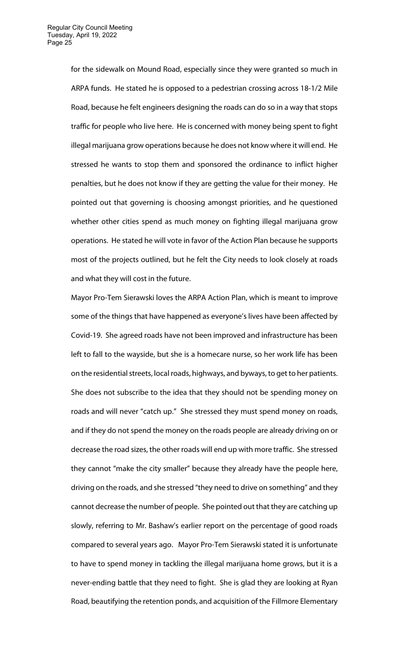for the sidewalk on Mound Road, especially since they were granted so much in ARPA funds. He stated he is opposed to a pedestrian crossing across 18-1/2 Mile Road, because he felt engineers designing the roads can do so in a way that stops traffic for people who live here. He is concerned with money being spent to fight illegal marijuana grow operations because he does not know where it will end. He stressed he wants to stop them and sponsored the ordinance to inflict higher penalties, but he does not know if they are getting the value for their money. He pointed out that governing is choosing amongst priorities, and he questioned whether other cities spend as much money on fighting illegal marijuana grow operations. He stated he will vote in favor of the Action Plan because he supports most of the projects outlined, but he felt the City needs to look closely at roads and what they will cost in the future.

Mayor Pro-Tem Sierawski loves the ARPA Action Plan, which is meant to improve some of the things that have happened as everyone's lives have been affected by Covid-19. She agreed roads have not been improved and infrastructure has been left to fall to the wayside, but she is a homecare nurse, so her work life has been on the residential streets, local roads, highways, and byways, to get to her patients. She does not subscribe to the idea that they should not be spending money on roads and will never "catch up." She stressed they must spend money on roads, and if they do not spend the money on the roads people are already driving on or decrease the road sizes, the other roads will end up with more traffic. She stressed they cannot "make the city smaller" because they already have the people here, driving on the roads, and she stressed "they need to drive on something" and they cannot decrease the number of people. She pointed out that they are catching up slowly, referring to Mr. Bashaw's earlier report on the percentage of good roads compared to several years ago. Mayor Pro-Tem Sierawski stated it is unfortunate to have to spend money in tackling the illegal marijuana home grows, but it is a never-ending battle that they need to fight. She is glad they are looking at Ryan Road, beautifying the retention ponds, and acquisition of the Fillmore Elementary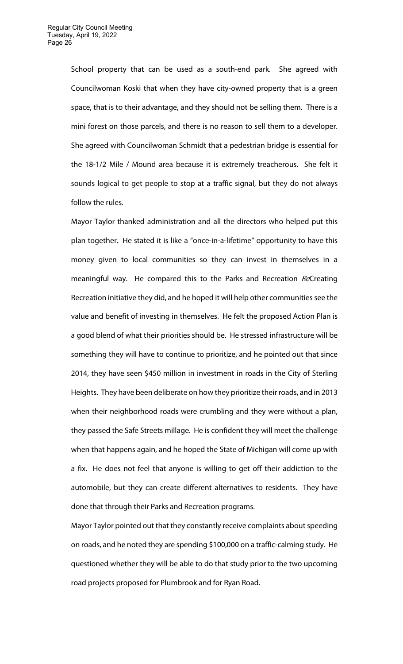School property that can be used as a south-end park. She agreed with Councilwoman Koski that when they have city-owned property that is a green space, that is to their advantage, and they should not be selling them. There is a mini forest on those parcels, and there is no reason to sell them to a developer. She agreed with Councilwoman Schmidt that a pedestrian bridge is essential for the 18-1/2 Mile / Mound area because it is extremely treacherous. She felt it sounds logical to get people to stop at a traffic signal, but they do not always follow the rules.

Mayor Taylor thanked administration and all the directors who helped put this plan together. He stated it is like a "once-in-a-lifetime" opportunity to have this money given to local communities so they can invest in themselves in a meaningful way. He compared this to the Parks and Recreation ReCreating Recreation initiative they did, and he hoped it will help other communities see the value and benefit of investing in themselves. He felt the proposed Action Plan is a good blend of what their priorities should be. He stressed infrastructure will be something they will have to continue to prioritize, and he pointed out that since 2014, they have seen \$450 million in investment in roads in the City of Sterling Heights. They have been deliberate on how they prioritize their roads, and in 2013 when their neighborhood roads were crumbling and they were without a plan, they passed the Safe Streets millage. He is confident they will meet the challenge when that happens again, and he hoped the State of Michigan will come up with a fix. He does not feel that anyone is willing to get off their addiction to the automobile, but they can create different alternatives to residents. They have done that through their Parks and Recreation programs.

Mayor Taylor pointed out that they constantly receive complaints about speeding on roads, and he noted they are spending \$100,000 on a traffic-calming study. He questioned whether they will be able to do that study prior to the two upcoming road projects proposed for Plumbrook and for Ryan Road.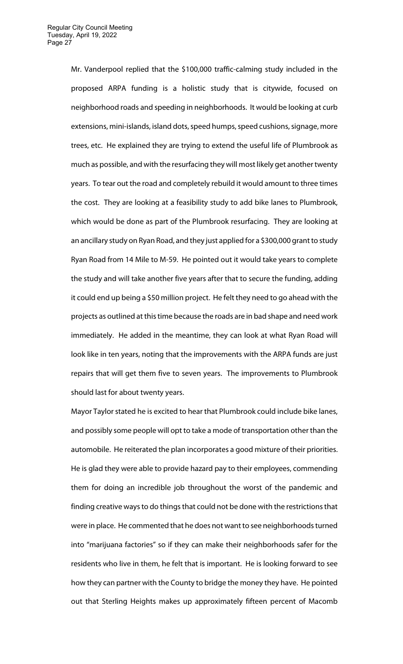Mr. Vanderpool replied that the \$100,000 traffic-calming study included in the proposed ARPA funding is a holistic study that is citywide, focused on neighborhood roads and speeding in neighborhoods. It would be looking at curb extensions, mini-islands, island dots, speed humps, speed cushions, signage, more trees, etc. He explained they are trying to extend the useful life of Plumbrook as much as possible, and with the resurfacing they will most likely get another twenty years. To tear out the road and completely rebuild it would amount to three times the cost. They are looking at a feasibility study to add bike lanes to Plumbrook, which would be done as part of the Plumbrook resurfacing. They are looking at an ancillary study on Ryan Road, and they just applied for a \$300,000 grant to study Ryan Road from 14 Mile to M-59. He pointed out it would take years to complete the study and will take another five years after that to secure the funding, adding it could end up being a \$50 million project. He felt they need to go ahead with the projects as outlined at this time because the roads are in bad shape and need work immediately. He added in the meantime, they can look at what Ryan Road will look like in ten years, noting that the improvements with the ARPA funds are just repairs that will get them five to seven years. The improvements to Plumbrook should last for about twenty years.

Mayor Taylor stated he is excited to hear that Plumbrook could include bike lanes, and possibly some people will opt to take a mode of transportation other than the automobile. He reiterated the plan incorporates a good mixture of their priorities. He is glad they were able to provide hazard pay to their employees, commending them for doing an incredible job throughout the worst of the pandemic and finding creative ways to do things that could not be done with the restrictions that were in place. He commented that he does not want to see neighborhoods turned into "marijuana factories" so if they can make their neighborhoods safer for the residents who live in them, he felt that is important. He is looking forward to see how they can partner with the County to bridge the money they have. He pointed out that Sterling Heights makes up approximately fifteen percent of Macomb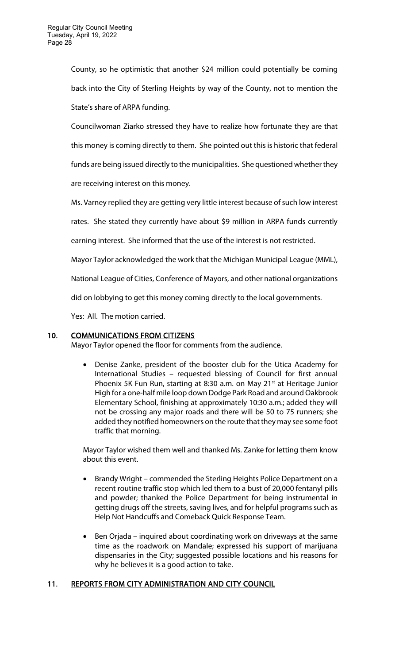County, so he optimistic that another \$24 million could potentially be coming back into the City of Sterling Heights by way of the County, not to mention the State's share of ARPA funding.

Councilwoman Ziarko stressed they have to realize how fortunate they are that this money is coming directly to them. She pointed out this is historic that federal funds are being issued directly to the municipalities. She questioned whether they are receiving interest on this money.

Ms. Varney replied they are getting very little interest because of such low interest

rates. She stated they currently have about \$9 million in ARPA funds currently

earning interest. She informed that the use of the interest is not restricted.

Mayor Taylor acknowledged the work that the Michigan Municipal League (MML),

National League of Cities, Conference of Mayors, and other national organizations

did on lobbying to get this money coming directly to the local governments.

Yes: All. The motion carried.

# 10. COMMUNICATIONS FROM CITIZENS

Mayor Taylor opened the floor for comments from the audience.

 Denise Zanke, president of the booster club for the Utica Academy for International Studies – requested blessing of Council for first annual Phoenix 5K Fun Run, starting at 8:30 a.m. on May 21<sup>st</sup> at Heritage Junior High for a one-half mile loop down Dodge Park Road and around Oakbrook Elementary School, finishing at approximately 10:30 a.m.; added they will not be crossing any major roads and there will be 50 to 75 runners; she added they notified homeowners on the route that they may see some foot traffic that morning.

Mayor Taylor wished them well and thanked Ms. Zanke for letting them know about this event.

- Brandy Wright commended the Sterling Heights Police Department on a recent routine traffic stop which led them to a bust of 20,000 fentanyl pills and powder; thanked the Police Department for being instrumental in getting drugs off the streets, saving lives, and for helpful programs such as Help Not Handcuffs and Comeback Quick Response Team.
- Ben Orjada inquired about coordinating work on driveways at the same time as the roadwork on Mandale; expressed his support of marijuana dispensaries in the City; suggested possible locations and his reasons for why he believes it is a good action to take.

# 11. REPORTS FROM CITY ADMINISTRATION AND CITY COUNCIL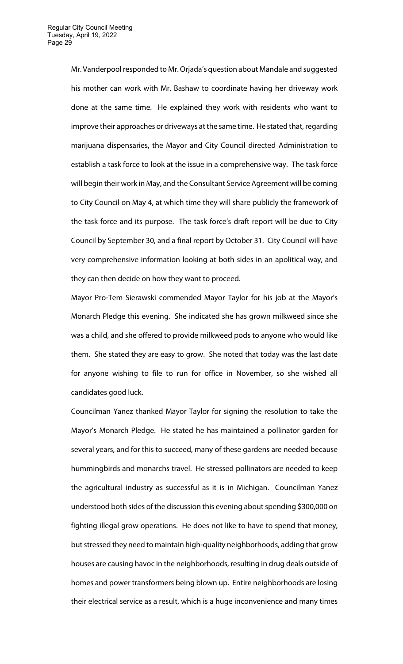Mr. Vanderpool responded to Mr. Orjada's question about Mandale and suggested his mother can work with Mr. Bashaw to coordinate having her driveway work done at the same time. He explained they work with residents who want to improve their approaches or driveways at the same time. He stated that, regarding marijuana dispensaries, the Mayor and City Council directed Administration to establish a task force to look at the issue in a comprehensive way. The task force will begin their work in May, and the Consultant Service Agreement will be coming to City Council on May 4, at which time they will share publicly the framework of the task force and its purpose. The task force's draft report will be due to City Council by September 30, and a final report by October 31. City Council will have very comprehensive information looking at both sides in an apolitical way, and they can then decide on how they want to proceed.

Mayor Pro-Tem Sierawski commended Mayor Taylor for his job at the Mayor's Monarch Pledge this evening. She indicated she has grown milkweed since she was a child, and she offered to provide milkweed pods to anyone who would like them. She stated they are easy to grow. She noted that today was the last date for anyone wishing to file to run for office in November, so she wished all candidates good luck.

Councilman Yanez thanked Mayor Taylor for signing the resolution to take the Mayor's Monarch Pledge. He stated he has maintained a pollinator garden for several years, and for this to succeed, many of these gardens are needed because hummingbirds and monarchs travel. He stressed pollinators are needed to keep the agricultural industry as successful as it is in Michigan. Councilman Yanez understood both sides of the discussion this evening about spending \$300,000 on fighting illegal grow operations. He does not like to have to spend that money, but stressed they need to maintain high-quality neighborhoods, adding that grow houses are causing havoc in the neighborhoods, resulting in drug deals outside of homes and power transformers being blown up. Entire neighborhoods are losing their electrical service as a result, which is a huge inconvenience and many times